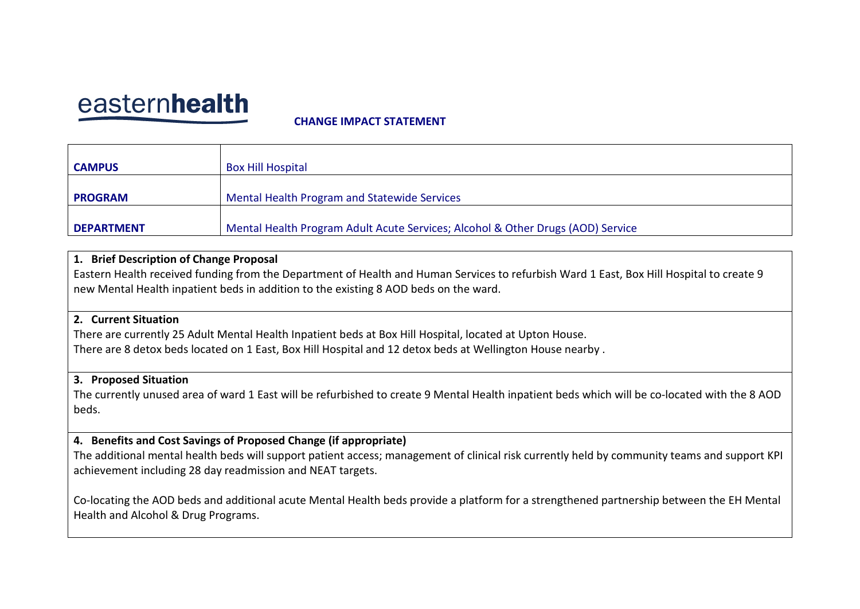# easternhealth

#### **CHANGE IMPACT STATEMENT**

| <b>CAMPUS</b>     | <b>Box Hill Hospital</b>                                                        |
|-------------------|---------------------------------------------------------------------------------|
|                   |                                                                                 |
| <b>PROGRAM</b>    | Mental Health Program and Statewide Services                                    |
|                   |                                                                                 |
| <b>DEPARTMENT</b> | Mental Health Program Adult Acute Services; Alcohol & Other Drugs (AOD) Service |

#### **1. Brief Description of Change Proposal**

Eastern Health received funding from the Department of Health and Human Services to refurbish Ward 1 East, Box Hill Hospital to create 9 new Mental Health inpatient beds in addition to the existing 8 AOD beds on the ward.

#### **2. Current Situation**

There are currently 25 Adult Mental Health Inpatient beds at Box Hill Hospital, located at Upton House. There are 8 detox beds located on 1 East, Box Hill Hospital and 12 detox beds at Wellington House nearby .

#### **3. Proposed Situation**

The currently unused area of ward 1 East will be refurbished to create 9 Mental Health inpatient beds which will be co-located with the 8 AOD beds.

#### **4. Benefits and Cost Savings of Proposed Change (if appropriate)**

The additional mental health beds will support patient access; management of clinical risk currently held by community teams and support KPI achievement including 28 day readmission and NEAT targets.

Co-locating the AOD beds and additional acute Mental Health beds provide a platform for a strengthened partnership between the EH Mental Health and Alcohol & Drug Programs.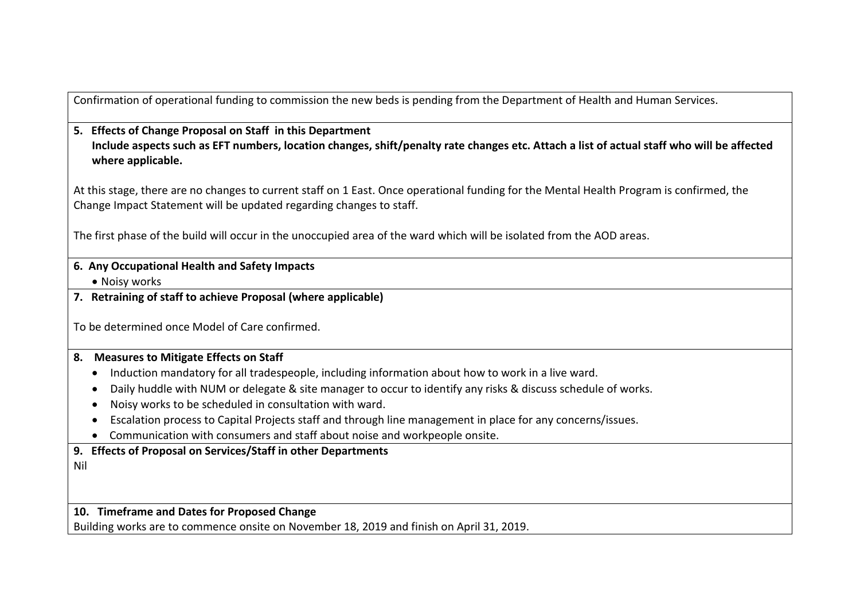Confirmation of operational funding to commission the new beds is pending from the Department of Health and Human Services.

## **5. Effects of Change Proposal on Staff in this Department Include aspects such as EFT numbers, location changes, shift/penalty rate changes etc. Attach a list of actual staff who will be affected where applicable.**

At this stage, there are no changes to current staff on 1 East. Once operational funding for the Mental Health Program is confirmed, the Change Impact Statement will be updated regarding changes to staff.

The first phase of the build will occur in the unoccupied area of the ward which will be isolated from the AOD areas.

## **6. Any Occupational Health and Safety Impacts**

• Noisy works

**7. Retraining of staff to achieve Proposal (where applicable)** 

To be determined once Model of Care confirmed.

## **8. Measures to Mitigate Effects on Staff**

- Induction mandatory for all tradespeople, including information about how to work in a live ward.
- Daily huddle with NUM or delegate & site manager to occur to identify any risks & discuss schedule of works.
- Noisy works to be scheduled in consultation with ward.
- Escalation process to Capital Projects staff and through line management in place for any concerns/issues.
- Communication with consumers and staff about noise and workpeople onsite.

## **9. Effects of Proposal on Services/Staff in other Departments**

Nil

## **10. Timeframe and Dates for Proposed Change**

Building works are to commence onsite on November 18, 2019 and finish on April 31, 2019.